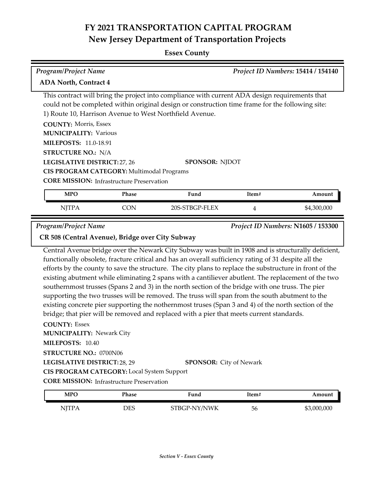**Essex County**

| <b>Program/Project Name</b><br>Project ID Numbers: 15414 / 154140<br><b>ADA North, Contract 4</b>                                                                                                                                                                                                                                                                                                                                                                                                                                                                                                                                                                                                                                                                                                                                                                                         |              |                                |       |             |  |
|-------------------------------------------------------------------------------------------------------------------------------------------------------------------------------------------------------------------------------------------------------------------------------------------------------------------------------------------------------------------------------------------------------------------------------------------------------------------------------------------------------------------------------------------------------------------------------------------------------------------------------------------------------------------------------------------------------------------------------------------------------------------------------------------------------------------------------------------------------------------------------------------|--------------|--------------------------------|-------|-------------|--|
| This contract will bring the project into compliance with current ADA design requirements that<br>could not be completed within original design or construction time frame for the following site:<br>1) Route 10, Harrison Avenue to West Northfield Avenue.<br><b>COUNTY: Morris, Essex</b><br><b>MUNICIPALITY: Various</b><br><b>MILEPOSTS: 11.0-18.91</b><br><b>STRUCTURE NO.: N/A</b><br>LEGISLATIVE DISTRICT: 27, 26<br>SPONSOR: NJDOT<br>CIS PROGRAM CATEGORY: Multimodal Programs<br><b>CORE MISSION:</b> Infrastructure Preservation                                                                                                                                                                                                                                                                                                                                             |              |                                |       |             |  |
| <b>MPO</b>                                                                                                                                                                                                                                                                                                                                                                                                                                                                                                                                                                                                                                                                                                                                                                                                                                                                                | <b>Phase</b> | Fund                           | Item# | Amount      |  |
| <b>NJTPA</b>                                                                                                                                                                                                                                                                                                                                                                                                                                                                                                                                                                                                                                                                                                                                                                                                                                                                              | <b>CON</b>   | 20S-STBGP-FLEX                 | 4     | \$4,300,000 |  |
| CR 508 (Central Avenue), Bridge over City Subway<br>Central Avenue bridge over the Newark City Subway was built in 1908 and is structurally deficient,<br>functionally obsolete, fracture critical and has an overall sufficiency rating of 31 despite all the<br>efforts by the county to save the structure. The city plans to replace the substructure in front of the<br>existing abutment while eliminating 2 spans with a cantiliever abutlent. The replacement of the two<br>southernmost trusses (Spans 2 and 3) in the north section of the bridge with one truss. The pier<br>supporting the two trusses will be removed. The truss will span from the south abutment to the<br>existing concrete pier supporting the nothernmost truses (Span 3 and 4) of the north section of the<br>bridge; that pier will be removed and replaced with a pier that meets current standards. |              |                                |       |             |  |
| <b>COUNTY: Essex</b><br><b>MUNICIPALITY: Newark City</b><br>MILEPOSTS: 10.40<br>STRUCTURE NO.: 0700N06<br>LEGISLATIVE DISTRICT: 28, 29                                                                                                                                                                                                                                                                                                                                                                                                                                                                                                                                                                                                                                                                                                                                                    |              | <b>SPONSOR:</b> City of Newark |       |             |  |
|                                                                                                                                                                                                                                                                                                                                                                                                                                                                                                                                                                                                                                                                                                                                                                                                                                                                                           |              |                                |       |             |  |

**CORE MISSION: Infrastructure Preservation** 

| <b>MPO</b>   | Phase | Fund         | ltem# | Amount      |
|--------------|-------|--------------|-------|-------------|
| <b>NITPA</b> | DES   | STBGP-NY/NWK | 56    | \$3,000,000 |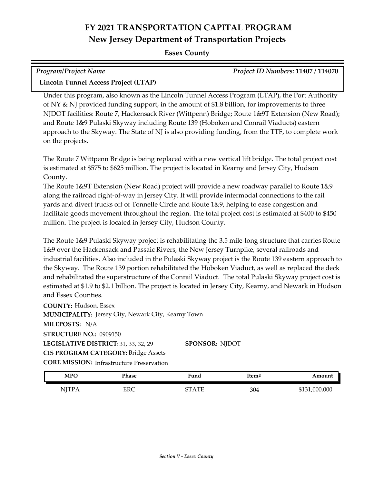#### **Essex County**

| <b>Program/Project Name</b>          | Project ID Numbers: 11407 / 114070 |
|--------------------------------------|------------------------------------|
| Lincoln Tunnel Access Project (LTAP) |                                    |

Under this program, also known as the Lincoln Tunnel Access Program (LTAP), the Port Authority of NY & NJ provided funding support, in the amount of \$1.8 billion, for improvements to three NJDOT facilities: Route 7, Hackensack River (Wittpenn) Bridge; Route 1&9T Extension (New Road); and Route 1&9 Pulaski Skyway including Route 139 (Hoboken and Conrail Viaducts) eastern approach to the Skyway. The State of NJ is also providing funding, from the TTF, to complete work on the projects.

The Route 7 Wittpenn Bridge is being replaced with a new vertical lift bridge. The total project cost is estimated at \$575 to \$625 million. The project is located in Kearny and Jersey City, Hudson County.

The Route 1&9T Extension (New Road) project will provide a new roadway parallel to Route 1&9 along the railroad right-of-way in Jersey City. It will provide intermodal connections to the rail yards and divert trucks off of Tonnelle Circle and Route 1&9, helping to ease congestion and facilitate goods movement throughout the region. The total project cost is estimated at \$400 to \$450 million. The project is located in Jersey City, Hudson County.

The Route 1&9 Pulaski Skyway project is rehabilitating the 3.5 mile-long structure that carries Route 1&9 over the Hackensack and Passaic Rivers, the New Jersey Turnpike, several railroads and industrial facilities. Also included in the Pulaski Skyway project is the Route 139 eastern approach to the Skyway. The Route 139 portion rehabilitated the Hoboken Viaduct, as well as replaced the deck and rehabilitated the superstructure of the Conrail Viaduct. The total Pulaski Skyway project cost is estimated at \$1.9 to \$2.1 billion. The project is located in Jersey City, Kearny, and Newark in Hudson and Essex Counties.

**COUNTY:** Hudson, Essex LEGISLATIVE DISTRICT: 31, 33, 32, 29 **MILEPOSTS:** N/A **STRUCTURE NO.:** 0909150 **MUNICIPALITY: Jersey City, Newark City, Kearny Town CORE MISSION:** Infrastructure Preservation **SPONSOR:** NJDOT **CIS PROGRAM CATEGORY:** Bridge Assets

| <b>MPC</b> | Phase | Fund         | Item# | ⊾mount        |
|------------|-------|--------------|-------|---------------|
| NITP.      | ERC   | $\Lambda$ TT | 304   | \$131,000,000 |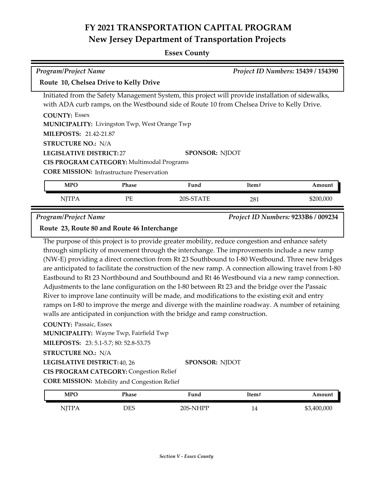#### **Essex County**

| Program/Project Name                                 | Project ID Numbers: 15439 / 154390                                                                |
|------------------------------------------------------|---------------------------------------------------------------------------------------------------|
| Route 10, Chelsea Drive to Kelly Drive               |                                                                                                   |
|                                                      | Initiated from the Safety Management System, this project will provide installation of sidewalks, |
|                                                      | with ADA curb ramps, on the Westbound side of Route 10 from Chelsea Drive to Kelly Drive.         |
| <b>COUNTY: Essex</b>                                 |                                                                                                   |
| <b>MUNICIPALITY:</b> Livingston Twp, West Orange Twp |                                                                                                   |
| <b>MILEPOSTS: 21.42-21.87</b>                        |                                                                                                   |
| <b>STRUCTURE NO.: N/A</b>                            |                                                                                                   |
| <b>LEGISLATIVE DISTRICT: 27</b>                      | <b>SPONSOR: NJDOT</b>                                                                             |
| CIS PROGRAM CATEGORY: Multimodal Programs            |                                                                                                   |

**CORE MISSION: Infrastructure Preservation** 

| <b>MPC</b> | Phase   | Fund      | Item# | Amount    |
|------------|---------|-----------|-------|-----------|
| NJTPA      | PF<br>- | 20S-STATE | 281   | \$200,000 |

*Program/Project Name Project ID Numbers:* **9233B6 / 009234**

#### **Route 23, Route 80 and Route 46 Interchange**

The purpose of this project is to provide greater mobility, reduce congestion and enhance safety through simplicity of movement through the interchange. The improvements include a new ramp (NW-E) providing a direct connection from Rt 23 Southbound to I-80 Westbound. Three new bridges are anticipated to facilitate the construction of the new ramp. A connection allowing travel from I-80 Eastbound to Rt 23 Northbound and Southbound and Rt 46 Westbound via a new ramp connection. Adjustments to the lane configuration on the I-80 between Rt 23 and the bridge over the Passaic River to improve lane continuity will be made, and modifications to the existing exit and entry ramps on I-80 to improve the merge and diverge with the mainline roadway. A number of retaining walls are anticipated in conjunction with the bridge and ramp construction.

**COUNTY:** Passaic, Essex

**MUNICIPALITY: Wayne Twp, Fairfield Twp** 

**MILEPOSTS:** 23: 5.1-5.7; 80: 52.8-53.75

**STRUCTURE NO.:** N/A

**LEGISLATIVE DISTRICT:** 40, 26 **SPONSOR:** NJDOT

**CIS PROGRAM CATEGORY:** Congestion Relief

**CORE MISSION:** Mobility and Congestion Relief

| MPO          | Phase | Fund     | ftem# | Amount      |
|--------------|-------|----------|-------|-------------|
| <b>NJTPA</b> | DES   | 20S-NHPP | 14    | \$3,400,000 |